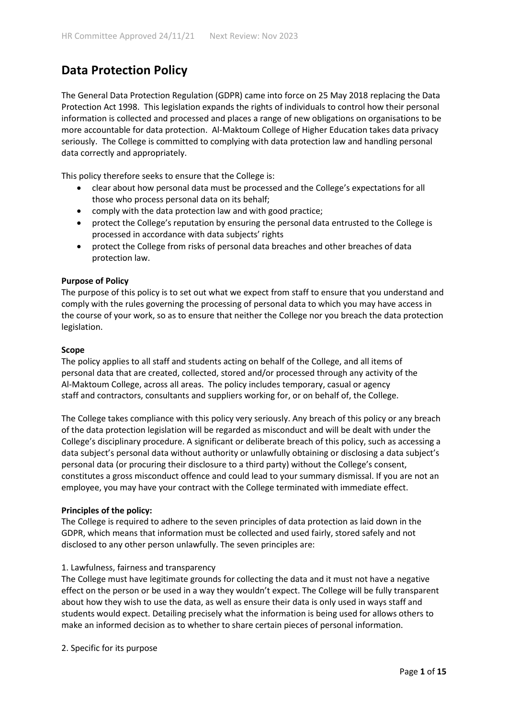# **Data Protection Policy**

The General Data Protection Regulation (GDPR) came into force on 25 May 2018 replacing the Data Protection Act 1998. This legislation expands the rights of individuals to control how their personal information is collected and processed and places a range of new obligations on organisations to be more accountable for data protection. Al-Maktoum College of Higher Education takes data privacy seriously. The College is committed to complying with data protection law and handling personal data correctly and appropriately.

This policy therefore seeks to ensure that the College is:

- clear about how personal data must be processed and the College's expectations for all those who process personal data on its behalf;
- comply with the data protection law and with good practice;
- protect the College's reputation by ensuring the personal data entrusted to the College is processed in accordance with data subjects' rights
- protect the College from risks of personal data breaches and other breaches of data protection law.

#### **Purpose of Policy**

The purpose of this policy is to set out what we expect from staff to ensure that you understand and comply with the rules governing the processing of personal data to which you may have access in the course of your work, so as to ensure that neither the College nor you breach the data protection legislation.

#### **Scope**

The policy applies to all staff and students acting on behalf of the College, and all items of personal data that are created, collected, stored and/or processed through any activity of the Al-Maktoum College, across all areas. The policy includes temporary, casual or agency staff and contractors, consultants and suppliers working for, or on behalf of, the College.

The College takes compliance with this policy very seriously. Any breach of this policy or any breach of the data protection legislation will be regarded as misconduct and will be dealt with under the College's disciplinary procedure. A significant or deliberate breach of this policy, such as accessing a data subject's personal data without authority or unlawfully obtaining or disclosing a data subject's personal data (or procuring their disclosure to a third party) without the College's consent, constitutes a gross misconduct offence and could lead to your summary dismissal. If you are not an employee, you may have your contract with the College terminated with immediate effect.

#### **Principles of the policy:**

The College is required to adhere to the seven principles of data protection as laid down in the GDPR, which means that information must be collected and used fairly, stored safely and not disclosed to any other person unlawfully. The seven principles are:

#### 1. Lawfulness, fairness and transparency

The College must have legitimate grounds for collecting the data and it must not have a negative effect on the person or be used in a way they wouldn't expect. The College will be fully transparent about how they wish to use the data, as well as ensure their data is only used in ways staff and students would expect. Detailing precisely what the information is being used for allows others to make an informed decision as to whether to share certain pieces of personal information.

2. Specific for its purpose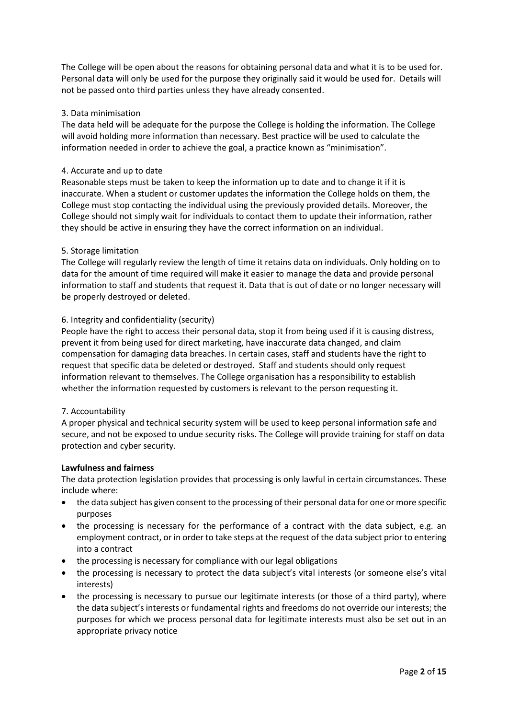The College will be open about the reasons for obtaining personal data and what it is to be used for. Personal data will only be used for the purpose they originally said it would be used for. Details will not be passed onto third parties unless they have already consented.

# 3. Data minimisation

The data held will be adequate for the purpose the College is holding the information. The College will avoid holding more information than necessary. Best practice will be used to calculate the information needed in order to achieve the goal, a practice known as "minimisation".

#### 4. Accurate and up to date

Reasonable steps must be taken to keep the information up to date and to change it if it is inaccurate. When a student or customer updates the information the College holds on them, the College must stop contacting the individual using the previously provided details. Moreover, the College should not simply wait for individuals to contact them to update their information, rather they should be active in ensuring they have the correct information on an individual.

#### 5. Storage limitation

The College will regularly review the length of time it retains data on individuals. Only holding on to data for the amount of time required will make it easier to manage the data and provide personal information to staff and students that request it. Data that is out of date or no longer necessary will be properly destroyed or deleted.

#### 6. Integrity and confidentiality (security)

People have the right to access their personal data, stop it from being used if it is causing distress, prevent it from being used for direct marketing, have inaccurate data changed, and claim compensation for damaging data breaches. In certain cases, staff and students have the right to request that specific data be deleted or destroyed. Staff and students should only request information relevant to themselves. The College organisation has a responsibility to establish whether the information requested by customers is relevant to the person requesting it.

#### 7. Accountability

A proper physical and technical security system will be used to keep personal information safe and secure, and not be exposed to undue security risks. The College will provide training for staff on data protection and cyber security.

#### **Lawfulness and fairness**

The data protection legislation provides that processing is only lawful in certain circumstances. These include where:

- the data subject has given consent to the processing of their personal data for one or more specific purposes
- the processing is necessary for the performance of a contract with the data subject, e.g. an employment contract, or in order to take steps at the request of the data subject prior to entering into a contract
- the processing is necessary for compliance with our legal obligations
- the processing is necessary to protect the data subject's vital interests (or someone else's vital interests)
- the processing is necessary to pursue our legitimate interests (or those of a third party), where the data subject's interests or fundamental rights and freedoms do not override our interests; the purposes for which we process personal data for legitimate interests must also be set out in an appropriate privacy notice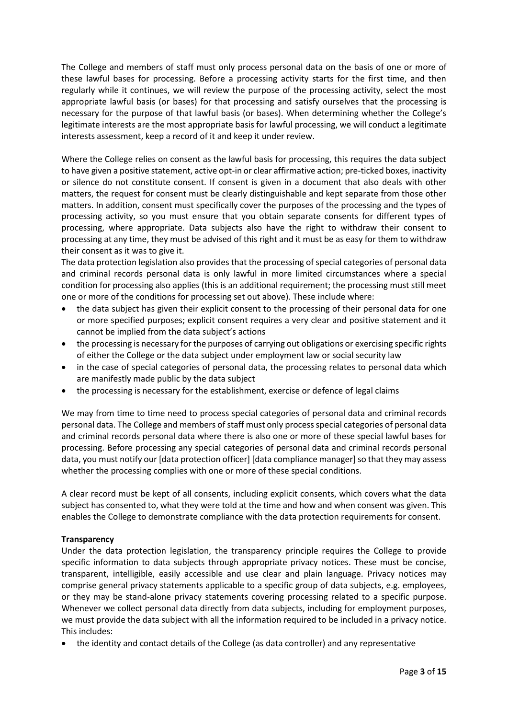The College and members of staff must only process personal data on the basis of one or more of these lawful bases for processing. Before a processing activity starts for the first time, and then regularly while it continues, we will review the purpose of the processing activity, select the most appropriate lawful basis (or bases) for that processing and satisfy ourselves that the processing is necessary for the purpose of that lawful basis (or bases). When determining whether the College's legitimate interests are the most appropriate basis for lawful processing, we will conduct a legitimate interests assessment, keep a record of it and keep it under review.

Where the College relies on consent as the lawful basis for processing, this requires the data subject to have given a positive statement, active opt-in or clear affirmative action; pre-ticked boxes, inactivity or silence do not constitute consent. If consent is given in a document that also deals with other matters, the request for consent must be clearly distinguishable and kept separate from those other matters. In addition, consent must specifically cover the purposes of the processing and the types of processing activity, so you must ensure that you obtain separate consents for different types of processing, where appropriate. Data subjects also have the right to withdraw their consent to processing at any time, they must be advised of this right and it must be as easy for them to withdraw their consent as it was to give it.

The data protection legislation also provides that the processing of special categories of personal data and criminal records personal data is only lawful in more limited circumstances where a special condition for processing also applies (this is an additional requirement; the processing must still meet one or more of the conditions for processing set out above). These include where:

- the data subject has given their explicit consent to the processing of their personal data for one or more specified purposes; explicit consent requires a very clear and positive statement and it cannot be implied from the data subject's actions
- the processing is necessary for the purposes of carrying out obligations or exercising specific rights of either the College or the data subject under employment law or social security law
- in the case of special categories of personal data, the processing relates to personal data which are manifestly made public by the data subject
- the processing is necessary for the establishment, exercise or defence of legal claims

We may from time to time need to process special categories of personal data and criminal records personal data. The College and members of staff must only process special categories of personal data and criminal records personal data where there is also one or more of these special lawful bases for processing. Before processing any special categories of personal data and criminal records personal data, you must notify our [data protection officer] [data compliance manager] so that they may assess whether the processing complies with one or more of these special conditions.

A clear record must be kept of all consents, including explicit consents, which covers what the data subject has consented to, what they were told at the time and how and when consent was given. This enables the College to demonstrate compliance with the data protection requirements for consent.

# **Transparency**

Under the data protection legislation, the transparency principle requires the College to provide specific information to data subjects through appropriate privacy notices. These must be concise, transparent, intelligible, easily accessible and use clear and plain language. Privacy notices may comprise general privacy statements applicable to a specific group of data subjects, e.g. employees, or they may be stand-alone privacy statements covering processing related to a specific purpose. Whenever we collect personal data directly from data subjects, including for employment purposes, we must provide the data subject with all the information required to be included in a privacy notice. This includes:

• the identity and contact details of the College (as data controller) and any representative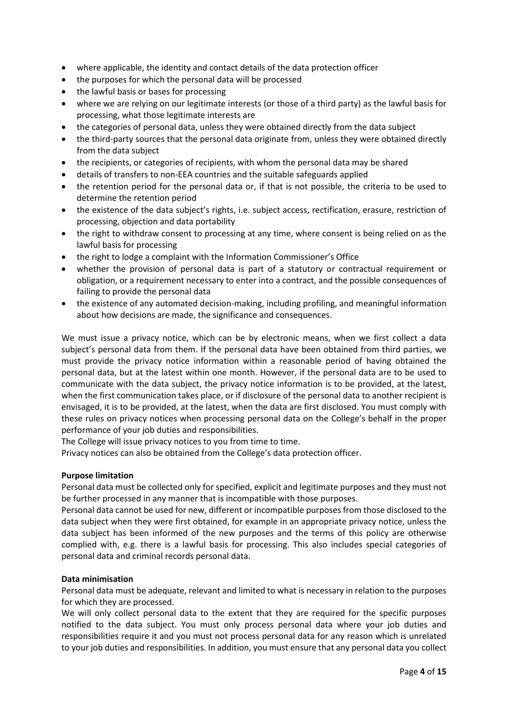- where applicable, the identity and contact details of the data protection officer
- the purposes for which the personal data will be processed
- the lawful basis or bases for processing
- where we are relying on our legitimate interests (or those of a third party) as the lawful basis for processing, what those legitimate interests are
- the categories of personal data, unless they were obtained directly from the data subject
- the third-party sources that the personal data originate from, unless they were obtained directly from the data subject
- the recipients, or categories of recipients, with whom the personal data may be shared
- details of transfers to non-EEA countries and the suitable safeguards applied
- the retention period for the personal data or, if that is not possible, the criteria to be used to determine the retention period
- the existence of the data subject's rights, i.e. subject access, rectification, erasure, restriction of processing, objection and data portability
- the right to withdraw consent to processing at any time, where consent is being relied on as the lawful basis for processing
- the right to lodge a complaint with the Information Commissioner's Office
- whether the provision of personal data is part of a statutory or contractual requirement or obligation, or a requirement necessary to enter into a contract, and the possible consequences of failing to provide the personal data
- the existence of any automated decision-making, including profiling, and meaningful information about how decisions are made, the significance and consequences.

We must issue a privacy notice, which can be by electronic means, when we first collect a data subject's personal data from them. If the personal data have been obtained from third parties, we must provide the privacy notice information within a reasonable period of having obtained the personal data, but at the latest within one month. However, if the personal data are to be used to communicate with the data subject, the privacy notice information is to be provided, at the latest, when the first communication takes place, or if disclosure of the personal data to another recipient is envisaged, it is to be provided, at the latest, when the data are first disclosed. You must comply with these rules on privacy notices when processing personal data on the College's behalf in the proper performance of your job duties and responsibilities.

The College will issue privacy notices to you from time to time.

Privacy notices can also be obtained from the College's data protection officer.

# **Purpose limitation**

Personal data must be collected only for specified, explicit and legitimate purposes and they must not be further processed in any manner that is incompatible with those purposes.

Personal data cannot be used for new, different or incompatible purposes from those disclosed to the data subject when they were first obtained, for example in an appropriate privacy notice, unless the data subject has been informed of the new purposes and the terms of this policy are otherwise complied with, e.g. there is a lawful basis for processing. This also includes special categories of personal data and criminal records personal data.

# **Data minimisation**

Personal data must be adequate, relevant and limited to what is necessary in relation to the purposes for which they are processed.

We will only collect personal data to the extent that they are required for the specific purposes notified to the data subject. You must only process personal data where your job duties and responsibilities require it and you must not process personal data for any reason which is unrelated to your job duties and responsibilities. In addition, you must ensure that any personal data you collect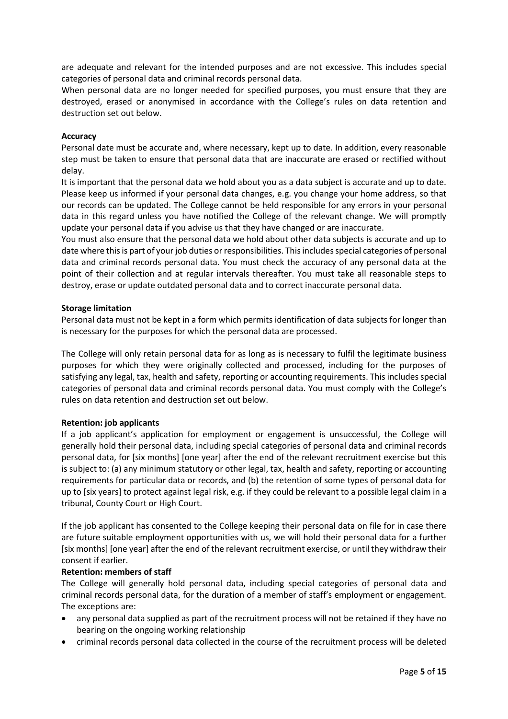are adequate and relevant for the intended purposes and are not excessive. This includes special categories of personal data and criminal records personal data.

When personal data are no longer needed for specified purposes, you must ensure that they are destroyed, erased or anonymised in accordance with the College's rules on data retention and destruction set out below.

### **Accuracy**

Personal date must be accurate and, where necessary, kept up to date. In addition, every reasonable step must be taken to ensure that personal data that are inaccurate are erased or rectified without delay.

It is important that the personal data we hold about you as a data subject is accurate and up to date. Please keep us informed if your personal data changes, e.g. you change your home address, so that our records can be updated. The College cannot be held responsible for any errors in your personal data in this regard unless you have notified the College of the relevant change. We will promptly update your personal data if you advise us that they have changed or are inaccurate.

You must also ensure that the personal data we hold about other data subjects is accurate and up to date where this is part of your job duties or responsibilities. This includes special categories of personal data and criminal records personal data. You must check the accuracy of any personal data at the point of their collection and at regular intervals thereafter. You must take all reasonable steps to destroy, erase or update outdated personal data and to correct inaccurate personal data.

#### **Storage limitation**

Personal data must not be kept in a form which permits identification of data subjects for longer than is necessary for the purposes for which the personal data are processed.

The College will only retain personal data for as long as is necessary to fulfil the legitimate business purposes for which they were originally collected and processed, including for the purposes of satisfying any legal, tax, health and safety, reporting or accounting requirements. This includes special categories of personal data and criminal records personal data. You must comply with the College's rules on data retention and destruction set out below.

# **Retention: job applicants**

If a job applicant's application for employment or engagement is unsuccessful, the College will generally hold their personal data, including special categories of personal data and criminal records personal data, for [six months] [one year] after the end of the relevant recruitment exercise but this is subject to: (a) any minimum statutory or other legal, tax, health and safety, reporting or accounting requirements for particular data or records, and (b) the retention of some types of personal data for up to [six years] to protect against legal risk, e.g. if they could be relevant to a possible legal claim in a tribunal, County Court or High Court.

If the job applicant has consented to the College keeping their personal data on file for in case there are future suitable employment opportunities with us, we will hold their personal data for a further [six months] [one year] after the end of the relevant recruitment exercise, or until they withdraw their consent if earlier.

#### **Retention: members of staff**

The College will generally hold personal data, including special categories of personal data and criminal records personal data, for the duration of a member of staff's employment or engagement. The exceptions are:

- any personal data supplied as part of the recruitment process will not be retained if they have no bearing on the ongoing working relationship
- criminal records personal data collected in the course of the recruitment process will be deleted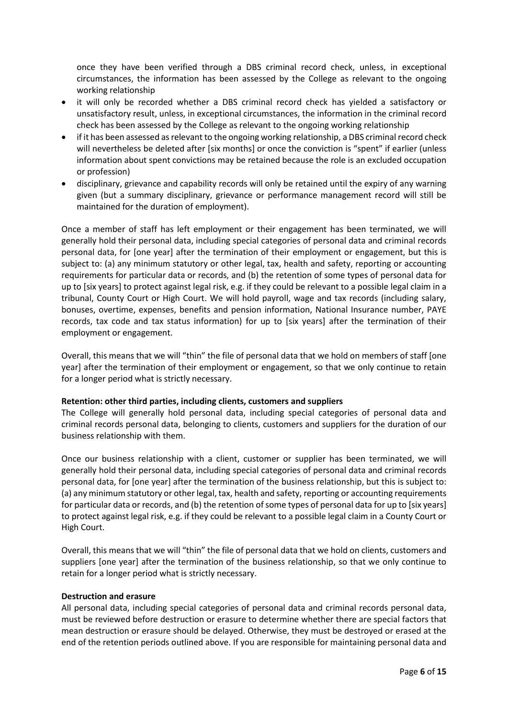once they have been verified through a DBS criminal record check, unless, in exceptional circumstances, the information has been assessed by the College as relevant to the ongoing working relationship

- it will only be recorded whether a DBS criminal record check has yielded a satisfactory or unsatisfactory result, unless, in exceptional circumstances, the information in the criminal record check has been assessed by the College as relevant to the ongoing working relationship
- if it has been assessed as relevant to the ongoing working relationship, a DBS criminal record check will nevertheless be deleted after [six months] or once the conviction is "spent" if earlier (unless information about spent convictions may be retained because the role is an excluded occupation or profession)
- disciplinary, grievance and capability records will only be retained until the expiry of any warning given (but a summary disciplinary, grievance or performance management record will still be maintained for the duration of employment).

Once a member of staff has left employment or their engagement has been terminated, we will generally hold their personal data, including special categories of personal data and criminal records personal data, for [one year] after the termination of their employment or engagement, but this is subject to: (a) any minimum statutory or other legal, tax, health and safety, reporting or accounting requirements for particular data or records, and (b) the retention of some types of personal data for up to [six years] to protect against legal risk, e.g. if they could be relevant to a possible legal claim in a tribunal, County Court or High Court. We will hold payroll, wage and tax records (including salary, bonuses, overtime, expenses, benefits and pension information, National Insurance number, PAYE records, tax code and tax status information) for up to [six years] after the termination of their employment or engagement.

Overall, this means that we will "thin" the file of personal data that we hold on members of staff [one year] after the termination of their employment or engagement, so that we only continue to retain for a longer period what is strictly necessary.

# **Retention: other third parties, including clients, customers and suppliers**

The College will generally hold personal data, including special categories of personal data and criminal records personal data, belonging to clients, customers and suppliers for the duration of our business relationship with them.

Once our business relationship with a client, customer or supplier has been terminated, we will generally hold their personal data, including special categories of personal data and criminal records personal data, for [one year] after the termination of the business relationship, but this is subject to: (a) any minimum statutory or other legal, tax, health and safety, reporting or accounting requirements for particular data or records, and (b) the retention of some types of personal data for up to [six years] to protect against legal risk, e.g. if they could be relevant to a possible legal claim in a County Court or High Court.

Overall, this means that we will "thin" the file of personal data that we hold on clients, customers and suppliers [one year] after the termination of the business relationship, so that we only continue to retain for a longer period what is strictly necessary.

# **Destruction and erasure**

All personal data, including special categories of personal data and criminal records personal data, must be reviewed before destruction or erasure to determine whether there are special factors that mean destruction or erasure should be delayed. Otherwise, they must be destroyed or erased at the end of the retention periods outlined above. If you are responsible for maintaining personal data and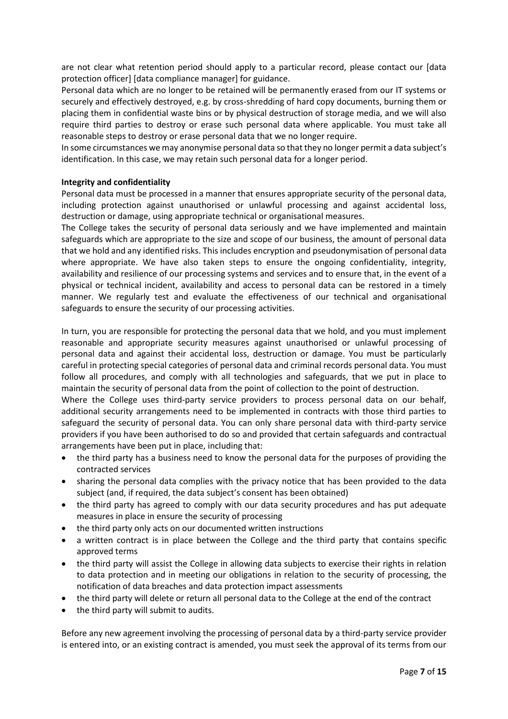are not clear what retention period should apply to a particular record, please contact our [data protection officer] [data compliance manager] for guidance.

Personal data which are no longer to be retained will be permanently erased from our IT systems or securely and effectively destroyed, e.g. by cross-shredding of hard copy documents, burning them or placing them in confidential waste bins or by physical destruction of storage media, and we will also require third parties to destroy or erase such personal data where applicable. You must take all reasonable steps to destroy or erase personal data that we no longer require.

In some circumstances we may anonymise personal data so that they no longer permit a data subject's identification. In this case, we may retain such personal data for a longer period.

#### **Integrity and confidentiality**

Personal data must be processed in a manner that ensures appropriate security of the personal data, including protection against unauthorised or unlawful processing and against accidental loss, destruction or damage, using appropriate technical or organisational measures.

The College takes the security of personal data seriously and we have implemented and maintain safeguards which are appropriate to the size and scope of our business, the amount of personal data that we hold and any identified risks. This includes encryption and pseudonymisation of personal data where appropriate. We have also taken steps to ensure the ongoing confidentiality, integrity, availability and resilience of our processing systems and services and to ensure that, in the event of a physical or technical incident, availability and access to personal data can be restored in a timely manner. We regularly test and evaluate the effectiveness of our technical and organisational safeguards to ensure the security of our processing activities.

In turn, you are responsible for protecting the personal data that we hold, and you must implement reasonable and appropriate security measures against unauthorised or unlawful processing of personal data and against their accidental loss, destruction or damage. You must be particularly careful in protecting special categories of personal data and criminal records personal data. You must follow all procedures, and comply with all technologies and safeguards, that we put in place to maintain the security of personal data from the point of collection to the point of destruction.

Where the College uses third-party service providers to process personal data on our behalf, additional security arrangements need to be implemented in contracts with those third parties to safeguard the security of personal data. You can only share personal data with third-party service providers if you have been authorised to do so and provided that certain safeguards and contractual arrangements have been put in place, including that:

- the third party has a business need to know the personal data for the purposes of providing the contracted services
- sharing the personal data complies with the privacy notice that has been provided to the data subject (and, if required, the data subject's consent has been obtained)
- the third party has agreed to comply with our data security procedures and has put adequate measures in place in ensure the security of processing
- the third party only acts on our documented written instructions
- a written contract is in place between the College and the third party that contains specific approved terms
- the third party will assist the College in allowing data subjects to exercise their rights in relation to data protection and in meeting our obligations in relation to the security of processing, the notification of data breaches and data protection impact assessments
- the third party will delete or return all personal data to the College at the end of the contract
- the third party will submit to audits.

Before any new agreement involving the processing of personal data by a third-party service provider is entered into, or an existing contract is amended, you must seek the approval of its terms from our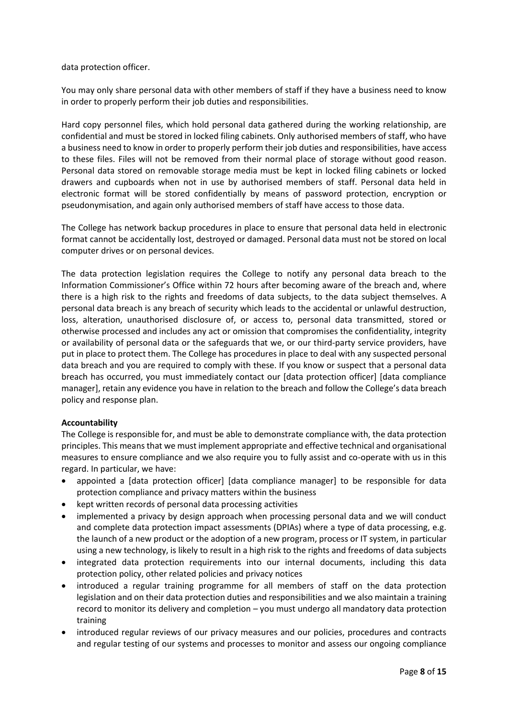data protection officer.

You may only share personal data with other members of staff if they have a business need to know in order to properly perform their job duties and responsibilities.

Hard copy personnel files, which hold personal data gathered during the working relationship, are confidential and must be stored in locked filing cabinets. Only authorised members of staff, who have a business need to know in order to properly perform their job duties and responsibilities, have access to these files. Files will not be removed from their normal place of storage without good reason. Personal data stored on removable storage media must be kept in locked filing cabinets or locked drawers and cupboards when not in use by authorised members of staff. Personal data held in electronic format will be stored confidentially by means of password protection, encryption or pseudonymisation, and again only authorised members of staff have access to those data.

The College has network backup procedures in place to ensure that personal data held in electronic format cannot be accidentally lost, destroyed or damaged. Personal data must not be stored on local computer drives or on personal devices.

The data protection legislation requires the College to notify any personal data breach to the Information Commissioner's Office within 72 hours after becoming aware of the breach and, where there is a high risk to the rights and freedoms of data subjects, to the data subject themselves. A personal data breach is any breach of security which leads to the accidental or unlawful destruction, loss, alteration, unauthorised disclosure of, or access to, personal data transmitted, stored or otherwise processed and includes any act or omission that compromises the confidentiality, integrity or availability of personal data or the safeguards that we, or our third-party service providers, have put in place to protect them. The College has procedures in place to deal with any suspected personal data breach and you are required to comply with these. If you know or suspect that a personal data breach has occurred, you must immediately contact our [data protection officer] [data compliance manager], retain any evidence you have in relation to the breach and follow the College's data breach policy and response plan.

# **Accountability**

The College is responsible for, and must be able to demonstrate compliance with, the data protection principles. This means that we must implement appropriate and effective technical and organisational measures to ensure compliance and we also require you to fully assist and co-operate with us in this regard. In particular, we have:

- appointed a [data protection officer] [data compliance manager] to be responsible for data protection compliance and privacy matters within the business
- kept written records of personal data processing activities
- implemented a privacy by design approach when processing personal data and we will conduct and complete data protection impact assessments (DPIAs) where a type of data processing, e.g. the launch of a new product or the adoption of a new program, process or IT system, in particular using a new technology, is likely to result in a high risk to the rights and freedoms of data subjects
- integrated data protection requirements into our internal documents, including this data protection policy, other related policies and privacy notices
- introduced a regular training programme for all members of staff on the data protection legislation and on their data protection duties and responsibilities and we also maintain a training record to monitor its delivery and completion – you must undergo all mandatory data protection training
- introduced regular reviews of our privacy measures and our policies, procedures and contracts and regular testing of our systems and processes to monitor and assess our ongoing compliance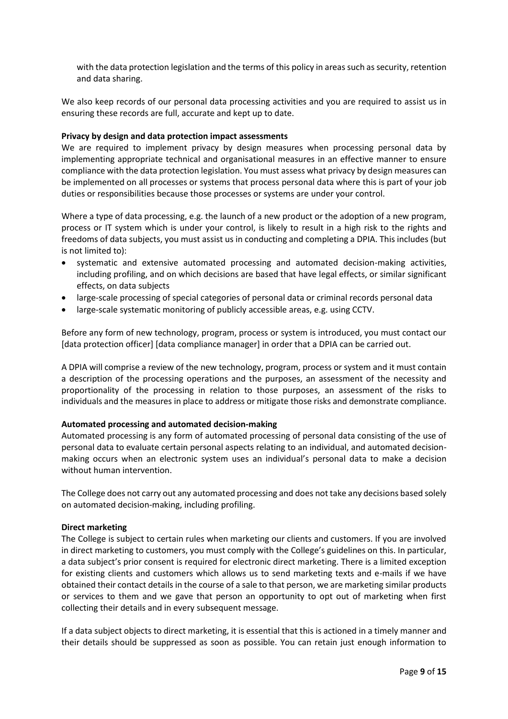with the data protection legislation and the terms of this policy in areas such as security, retention and data sharing.

We also keep records of our personal data processing activities and you are required to assist us in ensuring these records are full, accurate and kept up to date.

### **Privacy by design and data protection impact assessments**

We are required to implement privacy by design measures when processing personal data by implementing appropriate technical and organisational measures in an effective manner to ensure compliance with the data protection legislation. You must assess what privacy by design measures can be implemented on all processes or systems that process personal data where this is part of your job duties or responsibilities because those processes or systems are under your control.

Where a type of data processing, e.g. the launch of a new product or the adoption of a new program, process or IT system which is under your control, is likely to result in a high risk to the rights and freedoms of data subjects, you must assist us in conducting and completing a DPIA. This includes (but is not limited to):

- systematic and extensive automated processing and automated decision-making activities, including profiling, and on which decisions are based that have legal effects, or similar significant effects, on data subjects
- large-scale processing of special categories of personal data or criminal records personal data
- large-scale systematic monitoring of publicly accessible areas, e.g. using CCTV.

Before any form of new technology, program, process or system is introduced, you must contact our [data protection officer] [data compliance manager] in order that a DPIA can be carried out.

A DPIA will comprise a review of the new technology, program, process or system and it must contain a description of the processing operations and the purposes, an assessment of the necessity and proportionality of the processing in relation to those purposes, an assessment of the risks to individuals and the measures in place to address or mitigate those risks and demonstrate compliance.

# **Automated processing and automated decision-making**

Automated processing is any form of automated processing of personal data consisting of the use of personal data to evaluate certain personal aspects relating to an individual, and automated decisionmaking occurs when an electronic system uses an individual's personal data to make a decision without human intervention.

The College does not carry out any automated processing and does not take any decisions based solely on automated decision-making, including profiling.

#### **Direct marketing**

The College is subject to certain rules when marketing our clients and customers. If you are involved in direct marketing to customers, you must comply with the College's guidelines on this. In particular, a data subject's prior consent is required for electronic direct marketing. There is a limited exception for existing clients and customers which allows us to send marketing texts and e-mails if we have obtained their contact details in the course of a sale to that person, we are marketing similar products or services to them and we gave that person an opportunity to opt out of marketing when first collecting their details and in every subsequent message.

If a data subject objects to direct marketing, it is essential that this is actioned in a timely manner and their details should be suppressed as soon as possible. You can retain just enough information to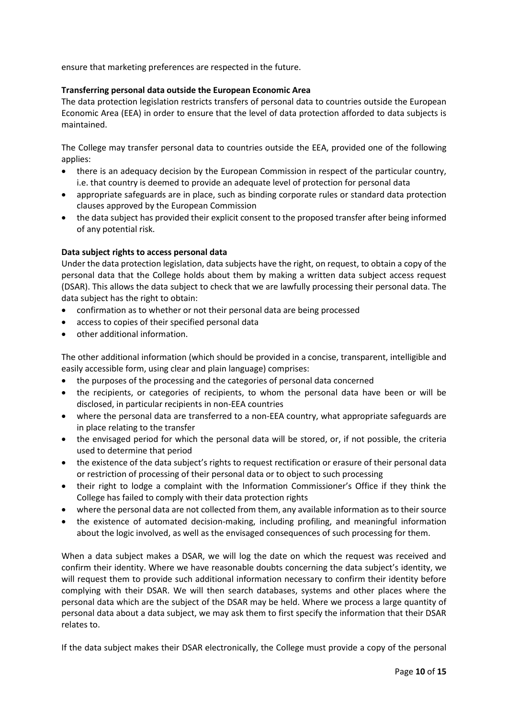ensure that marketing preferences are respected in the future.

# **Transferring personal data outside the European Economic Area**

The data protection legislation restricts transfers of personal data to countries outside the European Economic Area (EEA) in order to ensure that the level of data protection afforded to data subjects is maintained.

The College may transfer personal data to countries outside the EEA, provided one of the following applies:

- there is an adequacy decision by the European Commission in respect of the particular country, i.e. that country is deemed to provide an adequate level of protection for personal data
- appropriate safeguards are in place, such as binding corporate rules or standard data protection clauses approved by the European Commission
- the data subject has provided their explicit consent to the proposed transfer after being informed of any potential risk.

# **Data subject rights to access personal data**

Under the data protection legislation, data subjects have the right, on request, to obtain a copy of the personal data that the College holds about them by making a written data subject access request (DSAR). This allows the data subject to check that we are lawfully processing their personal data. The data subject has the right to obtain:

- confirmation as to whether or not their personal data are being processed
- access to copies of their specified personal data
- other additional information.

The other additional information (which should be provided in a concise, transparent, intelligible and easily accessible form, using clear and plain language) comprises:

- the purposes of the processing and the categories of personal data concerned
- the recipients, or categories of recipients, to whom the personal data have been or will be disclosed, in particular recipients in non-EEA countries
- where the personal data are transferred to a non-EEA country, what appropriate safeguards are in place relating to the transfer
- the envisaged period for which the personal data will be stored, or, if not possible, the criteria used to determine that period
- the existence of the data subject's rights to request rectification or erasure of their personal data or restriction of processing of their personal data or to object to such processing
- their right to lodge a complaint with the Information Commissioner's Office if they think the College has failed to comply with their data protection rights
- where the personal data are not collected from them, any available information as to their source
- the existence of automated decision-making, including profiling, and meaningful information about the logic involved, as well as the envisaged consequences of such processing for them.

When a data subject makes a DSAR, we will log the date on which the request was received and confirm their identity. Where we have reasonable doubts concerning the data subject's identity, we will request them to provide such additional information necessary to confirm their identity before complying with their DSAR. We will then search databases, systems and other places where the personal data which are the subject of the DSAR may be held. Where we process a large quantity of personal data about a data subject, we may ask them to first specify the information that their DSAR relates to.

If the data subject makes their DSAR electronically, the College must provide a copy of the personal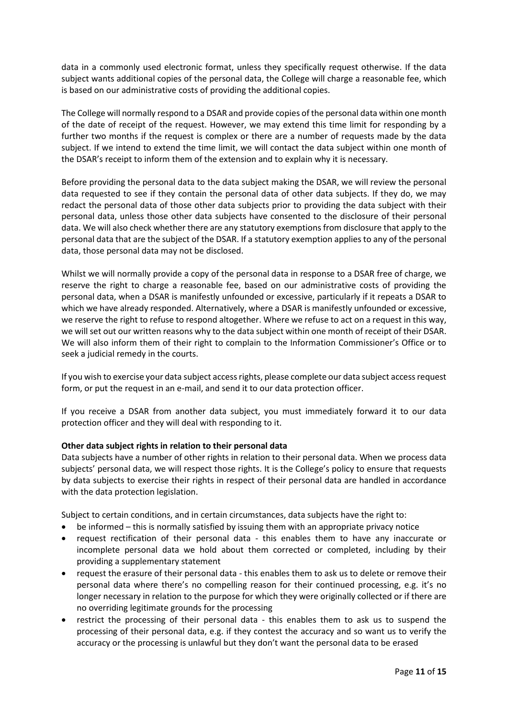data in a commonly used electronic format, unless they specifically request otherwise. If the data subject wants additional copies of the personal data, the College will charge a reasonable fee, which is based on our administrative costs of providing the additional copies.

The College will normally respond to a DSAR and provide copies of the personal data within one month of the date of receipt of the request. However, we may extend this time limit for responding by a further two months if the request is complex or there are a number of requests made by the data subject. If we intend to extend the time limit, we will contact the data subject within one month of the DSAR's receipt to inform them of the extension and to explain why it is necessary.

Before providing the personal data to the data subject making the DSAR, we will review the personal data requested to see if they contain the personal data of other data subjects. If they do, we may redact the personal data of those other data subjects prior to providing the data subject with their personal data, unless those other data subjects have consented to the disclosure of their personal data. We will also check whether there are any statutory exemptions from disclosure that apply to the personal data that are the subject of the DSAR. If a statutory exemption applies to any of the personal data, those personal data may not be disclosed.

Whilst we will normally provide a copy of the personal data in response to a DSAR free of charge, we reserve the right to charge a reasonable fee, based on our administrative costs of providing the personal data, when a DSAR is manifestly unfounded or excessive, particularly if it repeats a DSAR to which we have already responded. Alternatively, where a DSAR is manifestly unfounded or excessive, we reserve the right to refuse to respond altogether. Where we refuse to act on a request in this way, we will set out our written reasons why to the data subject within one month of receipt of their DSAR. We will also inform them of their right to complain to the Information Commissioner's Office or to seek a judicial remedy in the courts.

If you wish to exercise your data subject access rights, please complete our data subject access request form, or put the request in an e-mail, and send it to our data protection officer.

If you receive a DSAR from another data subject, you must immediately forward it to our data protection officer and they will deal with responding to it.

# **Other data subject rights in relation to their personal data**

Data subjects have a number of other rights in relation to their personal data. When we process data subjects' personal data, we will respect those rights. It is the College's policy to ensure that requests by data subjects to exercise their rights in respect of their personal data are handled in accordance with the data protection legislation.

Subject to certain conditions, and in certain circumstances, data subjects have the right to:

- be informed this is normally satisfied by issuing them with an appropriate privacy notice
- request rectification of their personal data this enables them to have any inaccurate or incomplete personal data we hold about them corrected or completed, including by their providing a supplementary statement
- request the erasure of their personal data this enables them to ask us to delete or remove their personal data where there's no compelling reason for their continued processing, e.g. it's no longer necessary in relation to the purpose for which they were originally collected or if there are no overriding legitimate grounds for the processing
- restrict the processing of their personal data this enables them to ask us to suspend the processing of their personal data, e.g. if they contest the accuracy and so want us to verify the accuracy or the processing is unlawful but they don't want the personal data to be erased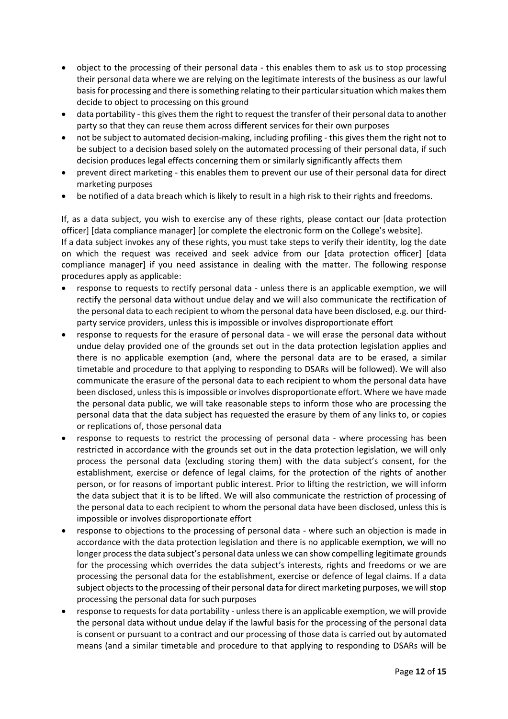- object to the processing of their personal data this enables them to ask us to stop processing their personal data where we are relying on the legitimate interests of the business as our lawful basis for processing and there is something relating to their particular situation which makes them decide to object to processing on this ground
- data portability this gives them the right to request the transfer of their personal data to another party so that they can reuse them across different services for their own purposes
- not be subject to automated decision-making, including profiling this gives them the right not to be subject to a decision based solely on the automated processing of their personal data, if such decision produces legal effects concerning them or similarly significantly affects them
- prevent direct marketing this enables them to prevent our use of their personal data for direct marketing purposes
- be notified of a data breach which is likely to result in a high risk to their rights and freedoms.

If, as a data subject, you wish to exercise any of these rights, please contact our [data protection officer] [data compliance manager] [or complete the electronic form on the College's website].

If a data subject invokes any of these rights, you must take steps to verify their identity, log the date on which the request was received and seek advice from our [data protection officer] [data compliance manager] if you need assistance in dealing with the matter. The following response procedures apply as applicable:

- response to requests to rectify personal data unless there is an applicable exemption, we will rectify the personal data without undue delay and we will also communicate the rectification of the personal data to each recipient to whom the personal data have been disclosed, e.g. our thirdparty service providers, unless this is impossible or involves disproportionate effort
- response to requests for the erasure of personal data we will erase the personal data without undue delay provided one of the grounds set out in the data protection legislation applies and there is no applicable exemption (and, where the personal data are to be erased, a similar timetable and procedure to that applying to responding to DSARs will be followed). We will also communicate the erasure of the personal data to each recipient to whom the personal data have been disclosed, unless this is impossible or involves disproportionate effort. Where we have made the personal data public, we will take reasonable steps to inform those who are processing the personal data that the data subject has requested the erasure by them of any links to, or copies or replications of, those personal data
- response to requests to restrict the processing of personal data where processing has been restricted in accordance with the grounds set out in the data protection legislation, we will only process the personal data (excluding storing them) with the data subject's consent, for the establishment, exercise or defence of legal claims, for the protection of the rights of another person, or for reasons of important public interest. Prior to lifting the restriction, we will inform the data subject that it is to be lifted. We will also communicate the restriction of processing of the personal data to each recipient to whom the personal data have been disclosed, unless this is impossible or involves disproportionate effort
- response to objections to the processing of personal data where such an objection is made in accordance with the data protection legislation and there is no applicable exemption, we will no longer process the data subject's personal data unless we can show compelling legitimate grounds for the processing which overrides the data subject's interests, rights and freedoms or we are processing the personal data for the establishment, exercise or defence of legal claims. If a data subject objects to the processing of their personal data for direct marketing purposes, we will stop processing the personal data for such purposes
- response to requests for data portability unless there is an applicable exemption, we will provide the personal data without undue delay if the lawful basis for the processing of the personal data is consent or pursuant to a contract and our processing of those data is carried out by automated means (and a similar timetable and procedure to that applying to responding to DSARs will be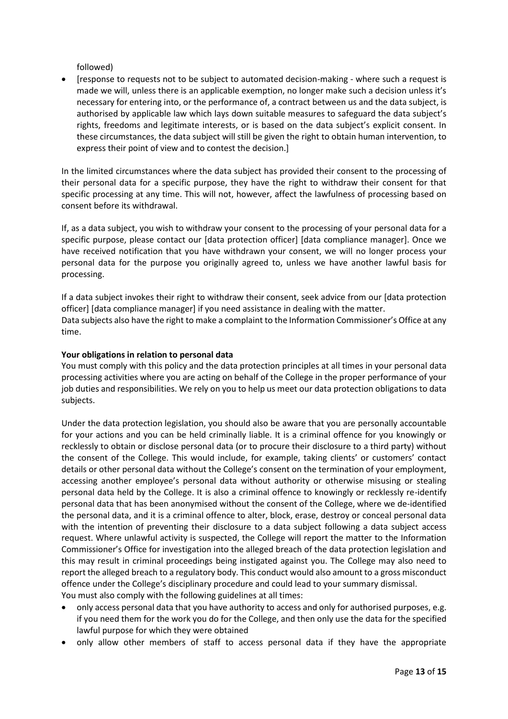followed)

• [response to requests not to be subject to automated decision-making - where such a request is made we will, unless there is an applicable exemption, no longer make such a decision unless it's necessary for entering into, or the performance of, a contract between us and the data subject, is authorised by applicable law which lays down suitable measures to safeguard the data subject's rights, freedoms and legitimate interests, or is based on the data subject's explicit consent. In these circumstances, the data subject will still be given the right to obtain human intervention, to express their point of view and to contest the decision.]

In the limited circumstances where the data subject has provided their consent to the processing of their personal data for a specific purpose, they have the right to withdraw their consent for that specific processing at any time. This will not, however, affect the lawfulness of processing based on consent before its withdrawal.

If, as a data subject, you wish to withdraw your consent to the processing of your personal data for a specific purpose, please contact our [data protection officer] [data compliance manager]. Once we have received notification that you have withdrawn your consent, we will no longer process your personal data for the purpose you originally agreed to, unless we have another lawful basis for processing.

If a data subject invokes their right to withdraw their consent, seek advice from our [data protection officer] [data compliance manager] if you need assistance in dealing with the matter. Data subjects also have the right to make a complaint to the Information Commissioner's Office at any time.

# **Your obligations in relation to personal data**

You must comply with this policy and the data protection principles at all times in your personal data processing activities where you are acting on behalf of the College in the proper performance of your job duties and responsibilities. We rely on you to help us meet our data protection obligations to data subjects.

Under the data protection legislation, you should also be aware that you are personally accountable for your actions and you can be held criminally liable. It is a criminal offence for you knowingly or recklessly to obtain or disclose personal data (or to procure their disclosure to a third party) without the consent of the College. This would include, for example, taking clients' or customers' contact details or other personal data without the College's consent on the termination of your employment, accessing another employee's personal data without authority or otherwise misusing or stealing personal data held by the College. It is also a criminal offence to knowingly or recklessly re-identify personal data that has been anonymised without the consent of the College, where we de-identified the personal data, and it is a criminal offence to alter, block, erase, destroy or conceal personal data with the intention of preventing their disclosure to a data subject following a data subject access request. Where unlawful activity is suspected, the College will report the matter to the Information Commissioner's Office for investigation into the alleged breach of the data protection legislation and this may result in criminal proceedings being instigated against you. The College may also need to report the alleged breach to a regulatory body. This conduct would also amount to a gross misconduct offence under the College's disciplinary procedure and could lead to your summary dismissal. You must also comply with the following guidelines at all times:

- only access personal data that you have authority to access and only for authorised purposes, e.g. if you need them for the work you do for the College, and then only use the data for the specified lawful purpose for which they were obtained
- only allow other members of staff to access personal data if they have the appropriate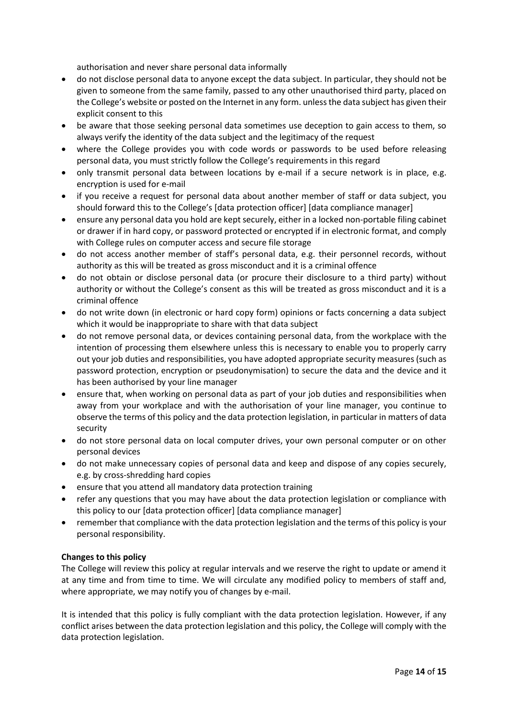authorisation and never share personal data informally

- do not disclose personal data to anyone except the data subject. In particular, they should not be given to someone from the same family, passed to any other unauthorised third party, placed on the College's website or posted on the Internet in any form. unless the data subject has given their explicit consent to this
- be aware that those seeking personal data sometimes use deception to gain access to them, so always verify the identity of the data subject and the legitimacy of the request
- where the College provides you with code words or passwords to be used before releasing personal data, you must strictly follow the College's requirements in this regard
- only transmit personal data between locations by e-mail if a secure network is in place, e.g. encryption is used for e-mail
- if you receive a request for personal data about another member of staff or data subject, you should forward this to the College's [data protection officer] [data compliance manager]
- ensure any personal data you hold are kept securely, either in a locked non-portable filing cabinet or drawer if in hard copy, or password protected or encrypted if in electronic format, and comply with College rules on computer access and secure file storage
- do not access another member of staff's personal data, e.g. their personnel records, without authority as this will be treated as gross misconduct and it is a criminal offence
- do not obtain or disclose personal data (or procure their disclosure to a third party) without authority or without the College's consent as this will be treated as gross misconduct and it is a criminal offence
- do not write down (in electronic or hard copy form) opinions or facts concerning a data subject which it would be inappropriate to share with that data subject
- do not remove personal data, or devices containing personal data, from the workplace with the intention of processing them elsewhere unless this is necessary to enable you to properly carry out your job duties and responsibilities, you have adopted appropriate security measures (such as password protection, encryption or pseudonymisation) to secure the data and the device and it has been authorised by your line manager
- ensure that, when working on personal data as part of your job duties and responsibilities when away from your workplace and with the authorisation of your line manager, you continue to observe the terms of this policy and the data protection legislation, in particular in matters of data security
- do not store personal data on local computer drives, your own personal computer or on other personal devices
- do not make unnecessary copies of personal data and keep and dispose of any copies securely, e.g. by cross-shredding hard copies
- ensure that you attend all mandatory data protection training
- refer any questions that you may have about the data protection legislation or compliance with this policy to our [data protection officer] [data compliance manager]
- remember that compliance with the data protection legislation and the terms of this policy is your personal responsibility.

# **Changes to this policy**

The College will review this policy at regular intervals and we reserve the right to update or amend it at any time and from time to time. We will circulate any modified policy to members of staff and, where appropriate, we may notify you of changes by e-mail.

It is intended that this policy is fully compliant with the data protection legislation. However, if any conflict arises between the data protection legislation and this policy, the College will comply with the data protection legislation.